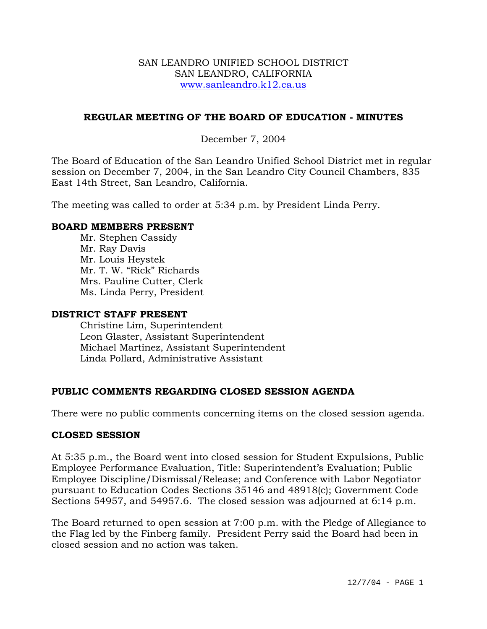#### SAN LEANDRO UNIFIED SCHOOL DISTRICT SAN LEANDRO, CALIFORNIA www.sanleandro.k12.ca.us

## **REGULAR MEETING OF THE BOARD OF EDUCATION - MINUTES**

### December 7, 2004

The Board of Education of the San Leandro Unified School District met in regular session on December 7, 2004, in the San Leandro City Council Chambers, 835 East 14th Street, San Leandro, California.

The meeting was called to order at 5:34 p.m. by President Linda Perry.

#### **BOARD MEMBERS PRESENT**

Mr. Stephen Cassidy Mr. Ray Davis Mr. Louis Heystek Mr. T. W. "Rick" Richards Mrs. Pauline Cutter, Clerk Ms. Linda Perry, President

#### **DISTRICT STAFF PRESENT**

Christine Lim, Superintendent Leon Glaster, Assistant Superintendent Michael Martinez, Assistant Superintendent Linda Pollard, Administrative Assistant

#### **PUBLIC COMMENTS REGARDING CLOSED SESSION AGENDA**

There were no public comments concerning items on the closed session agenda.

#### **CLOSED SESSION**

At 5:35 p.m., the Board went into closed session for Student Expulsions, Public Employee Performance Evaluation, Title: Superintendent's Evaluation; Public Employee Discipline/Dismissal/Release; and Conference with Labor Negotiator pursuant to Education Codes Sections 35146 and 48918(c); Government Code Sections 54957, and 54957.6. The closed session was adjourned at 6:14 p.m.

The Board returned to open session at 7:00 p.m. with the Pledge of Allegiance to the Flag led by the Finberg family. President Perry said the Board had been in closed session and no action was taken.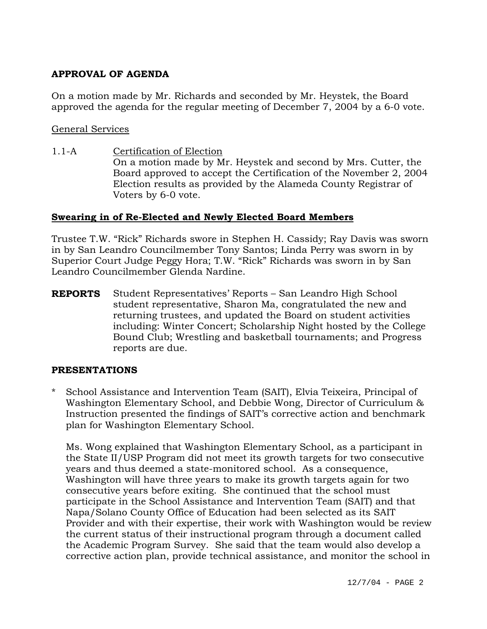# **APPROVAL OF AGENDA**

On a motion made by Mr. Richards and seconded by Mr. Heystek, the Board approved the agenda for the regular meeting of December 7, 2004 by a 6-0 vote.

### General Services

1.1-A Certification of Election On a motion made by Mr. Heystek and second by Mrs. Cutter, the Board approved to accept the Certification of the November 2, 2004 Election results as provided by the Alameda County Registrar of Voters by 6-0 vote.

### **Swearing in of Re-Elected and Newly Elected Board Members**

Trustee T.W. "Rick" Richards swore in Stephen H. Cassidy; Ray Davis was sworn in by San Leandro Councilmember Tony Santos; Linda Perry was sworn in by Superior Court Judge Peggy Hora; T.W. "Rick" Richards was sworn in by San Leandro Councilmember Glenda Nardine.

**REPORTS** Student Representatives' Reports – San Leandro High School student representative, Sharon Ma, congratulated the new and returning trustees, and updated the Board on student activities including: Winter Concert; Scholarship Night hosted by the College Bound Club; Wrestling and basketball tournaments; and Progress reports are due.

#### **PRESENTATIONS**

\* School Assistance and Intervention Team (SAIT), Elvia Teixeira, Principal of Washington Elementary School, and Debbie Wong, Director of Curriculum & Instruction presented the findings of SAIT's corrective action and benchmark plan for Washington Elementary School.

Ms. Wong explained that Washington Elementary School, as a participant in the State II/USP Program did not meet its growth targets for two consecutive years and thus deemed a state-monitored school. As a consequence, Washington will have three years to make its growth targets again for two consecutive years before exiting. She continued that the school must participate in the School Assistance and Intervention Team (SAIT) and that Napa/Solano County Office of Education had been selected as its SAIT Provider and with their expertise, their work with Washington would be review the current status of their instructional program through a document called the Academic Program Survey. She said that the team would also develop a corrective action plan, provide technical assistance, and monitor the school in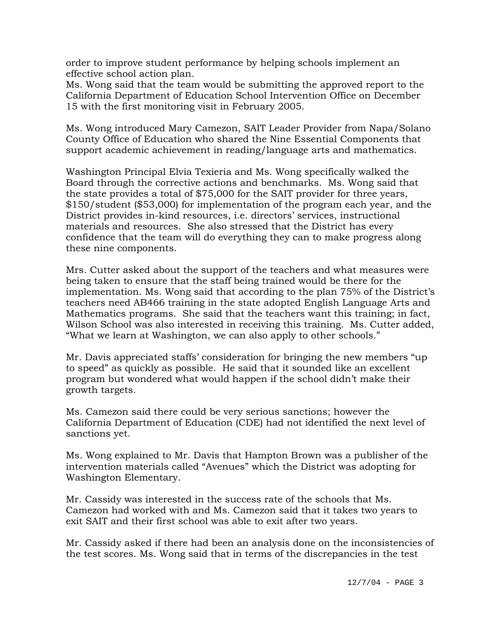order to improve student performance by helping schools implement an effective school action plan.

Ms. Wong said that the team would be submitting the approved report to the California Department of Education School Intervention Office on December 15 with the first monitoring visit in February 2005.

Ms. Wong introduced Mary Camezon, SAIT Leader Provider from Napa/Solano County Office of Education who shared the Nine Essential Components that support academic achievement in reading/language arts and mathematics.

Washington Principal Elvia Texieria and Ms. Wong specifically walked the Board through the corrective actions and benchmarks. Ms. Wong said that the state provides a total of \$75,000 for the SAIT provider for three years, \$150/student (\$53,000) for implementation of the program each year, and the District provides in-kind resources, i.e. directors' services, instructional materials and resources. She also stressed that the District has every confidence that the team will do everything they can to make progress along these nine components.

Mrs. Cutter asked about the support of the teachers and what measures were being taken to ensure that the staff being trained would be there for the implementation. Ms. Wong said that according to the plan 75% of the District's teachers need AB466 training in the state adopted English Language Arts and Mathematics programs. She said that the teachers want this training; in fact, Wilson School was also interested in receiving this training. Ms. Cutter added, "What we learn at Washington, we can also apply to other schools."

Mr. Davis appreciated staffs' consideration for bringing the new members "up to speed" as quickly as possible. He said that it sounded like an excellent program but wondered what would happen if the school didn't make their growth targets.

Ms. Camezon said there could be very serious sanctions; however the California Department of Education (CDE) had not identified the next level of sanctions yet.

Ms. Wong explained to Mr. Davis that Hampton Brown was a publisher of the intervention materials called "Avenues" which the District was adopting for Washington Elementary.

Mr. Cassidy was interested in the success rate of the schools that Ms. Camezon had worked with and Ms. Camezon said that it takes two years to exit SAIT and their first school was able to exit after two years.

Mr. Cassidy asked if there had been an analysis done on the inconsistencies of the test scores. Ms. Wong said that in terms of the discrepancies in the test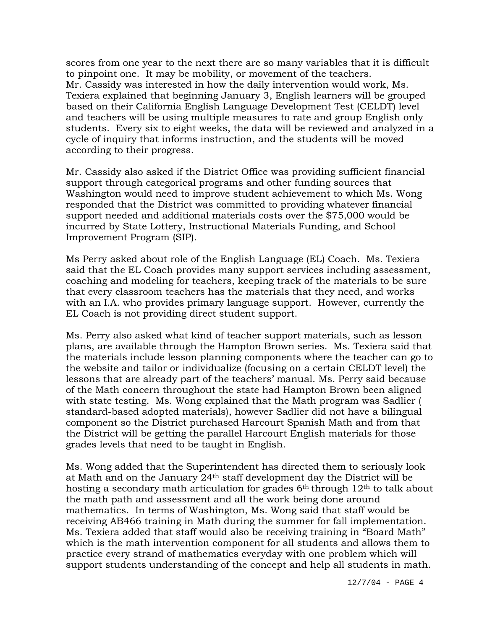scores from one year to the next there are so many variables that it is difficult to pinpoint one. It may be mobility, or movement of the teachers. Mr. Cassidy was interested in how the daily intervention would work, Ms. Texiera explained that beginning January 3, English learners will be grouped based on their California English Language Development Test (CELDT) level and teachers will be using multiple measures to rate and group English only students. Every six to eight weeks, the data will be reviewed and analyzed in a cycle of inquiry that informs instruction, and the students will be moved according to their progress.

Mr. Cassidy also asked if the District Office was providing sufficient financial support through categorical programs and other funding sources that Washington would need to improve student achievement to which Ms. Wong responded that the District was committed to providing whatever financial support needed and additional materials costs over the \$75,000 would be incurred by State Lottery, Instructional Materials Funding, and School Improvement Program (SIP).

Ms Perry asked about role of the English Language (EL) Coach. Ms. Texiera said that the EL Coach provides many support services including assessment, coaching and modeling for teachers, keeping track of the materials to be sure that every classroom teachers has the materials that they need, and works with an I.A. who provides primary language support. However, currently the EL Coach is not providing direct student support.

Ms. Perry also asked what kind of teacher support materials, such as lesson plans, are available through the Hampton Brown series. Ms. Texiera said that the materials include lesson planning components where the teacher can go to the website and tailor or individualize (focusing on a certain CELDT level) the lessons that are already part of the teachers' manual. Ms. Perry said because of the Math concern throughout the state had Hampton Brown been aligned with state testing. Ms. Wong explained that the Math program was Sadlier ( standard-based adopted materials), however Sadlier did not have a bilingual component so the District purchased Harcourt Spanish Math and from that the District will be getting the parallel Harcourt English materials for those grades levels that need to be taught in English.

Ms. Wong added that the Superintendent has directed them to seriously look at Math and on the January 24th staff development day the District will be hosting a secondary math articulation for grades 6<sup>th</sup> through 12<sup>th</sup> to talk about the math path and assessment and all the work being done around mathematics. In terms of Washington, Ms. Wong said that staff would be receiving AB466 training in Math during the summer for fall implementation. Ms. Texiera added that staff would also be receiving training in "Board Math" which is the math intervention component for all students and allows them to practice every strand of mathematics everyday with one problem which will support students understanding of the concept and help all students in math.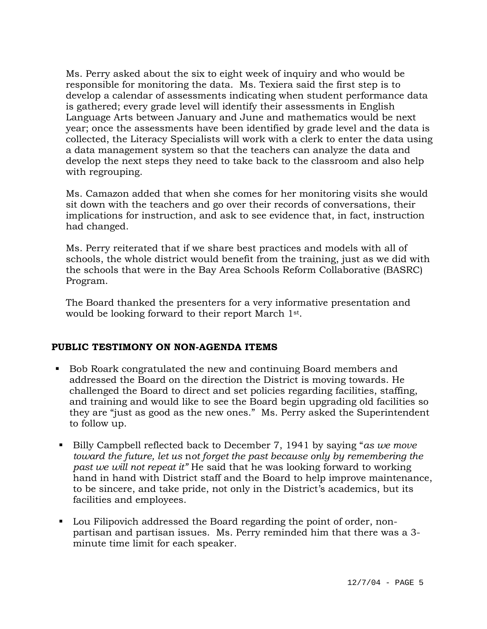Ms. Perry asked about the six to eight week of inquiry and who would be responsible for monitoring the data. Ms. Texiera said the first step is to develop a calendar of assessments indicating when student performance data is gathered; every grade level will identify their assessments in English Language Arts between January and June and mathematics would be next year; once the assessments have been identified by grade level and the data is collected, the Literacy Specialists will work with a clerk to enter the data using a data management system so that the teachers can analyze the data and develop the next steps they need to take back to the classroom and also help with regrouping.

Ms. Camazon added that when she comes for her monitoring visits she would sit down with the teachers and go over their records of conversations, their implications for instruction, and ask to see evidence that, in fact, instruction had changed.

Ms. Perry reiterated that if we share best practices and models with all of schools, the whole district would benefit from the training, just as we did with the schools that were in the Bay Area Schools Reform Collaborative (BASRC) Program.

The Board thanked the presenters for a very informative presentation and would be looking forward to their report March 1st.

## **PUBLIC TESTIMONY ON NON-AGENDA ITEMS**

- Bob Roark congratulated the new and continuing Board members and addressed the Board on the direction the District is moving towards. He challenged the Board to direct and set policies regarding facilities, staffing, and training and would like to see the Board begin upgrading old facilities so they are "just as good as the new ones." Ms. Perry asked the Superintendent to follow up.
- Billy Campbell reflected back to December 7, 1941 by saying "*as we move toward the future, let us* n*ot forget the past because only by remembering the past we will not repeat it"* He said that he was looking forward to working hand in hand with District staff and the Board to help improve maintenance, to be sincere, and take pride, not only in the District's academics, but its facilities and employees.
- Lou Filipovich addressed the Board regarding the point of order, nonpartisan and partisan issues. Ms. Perry reminded him that there was a 3 minute time limit for each speaker.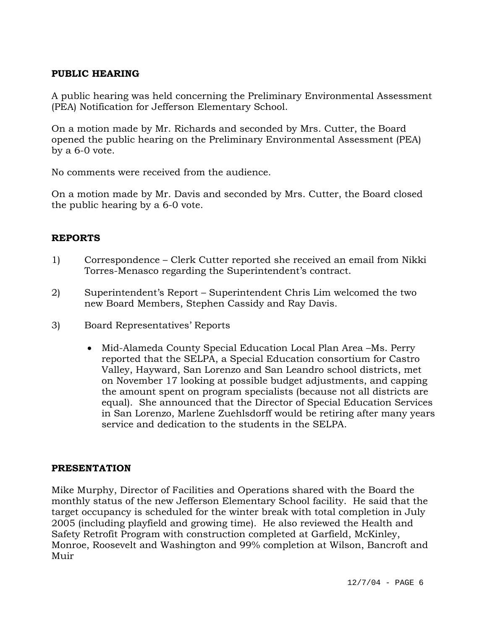## **PUBLIC HEARING**

A public hearing was held concerning the Preliminary Environmental Assessment (PEA) Notification for Jefferson Elementary School.

On a motion made by Mr. Richards and seconded by Mrs. Cutter, the Board opened the public hearing on the Preliminary Environmental Assessment (PEA) by a 6-0 vote.

No comments were received from the audience.

On a motion made by Mr. Davis and seconded by Mrs. Cutter, the Board closed the public hearing by a 6-0 vote.

# **REPORTS**

- 1) Correspondence Clerk Cutter reported she received an email from Nikki Torres-Menasco regarding the Superintendent's contract.
- 2) Superintendent's Report Superintendent Chris Lim welcomed the two new Board Members, Stephen Cassidy and Ray Davis.
- 3) Board Representatives' Reports
	- Mid-Alameda County Special Education Local Plan Area –Ms. Perry reported that the SELPA, a Special Education consortium for Castro Valley, Hayward, San Lorenzo and San Leandro school districts, met on November 17 looking at possible budget adjustments, and capping the amount spent on program specialists (because not all districts are equal). She announced that the Director of Special Education Services in San Lorenzo, Marlene Zuehlsdorff would be retiring after many years service and dedication to the students in the SELPA.

## **PRESENTATION**

Mike Murphy, Director of Facilities and Operations shared with the Board the monthly status of the new Jefferson Elementary School facility. He said that the target occupancy is scheduled for the winter break with total completion in July 2005 (including playfield and growing time). He also reviewed the Health and Safety Retrofit Program with construction completed at Garfield, McKinley, Monroe, Roosevelt and Washington and 99% completion at Wilson, Bancroft and Muir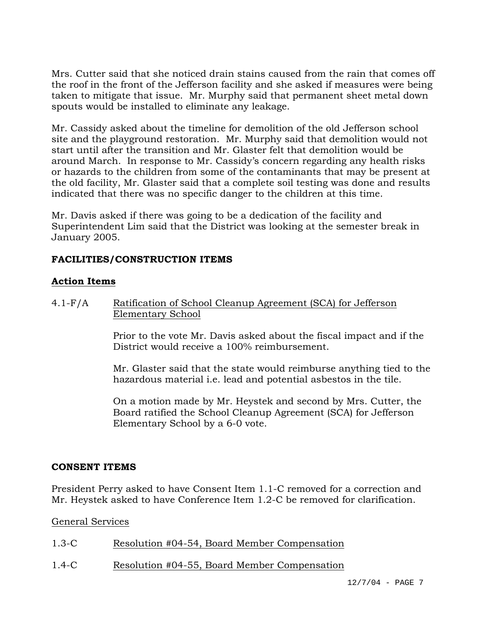Mrs. Cutter said that she noticed drain stains caused from the rain that comes off the roof in the front of the Jefferson facility and she asked if measures were being taken to mitigate that issue. Mr. Murphy said that permanent sheet metal down spouts would be installed to eliminate any leakage.

Mr. Cassidy asked about the timeline for demolition of the old Jefferson school site and the playground restoration. Mr. Murphy said that demolition would not start until after the transition and Mr. Glaster felt that demolition would be around March. In response to Mr. Cassidy's concern regarding any health risks or hazards to the children from some of the contaminants that may be present at the old facility, Mr. Glaster said that a complete soil testing was done and results indicated that there was no specific danger to the children at this time.

Mr. Davis asked if there was going to be a dedication of the facility and Superintendent Lim said that the District was looking at the semester break in January 2005.

# **FACILITIES/CONSTRUCTION ITEMS**

# **Action Items**

4.1-F/A Ratification of School Cleanup Agreement (SCA) for Jefferson Elementary School

> Prior to the vote Mr. Davis asked about the fiscal impact and if the District would receive a 100% reimbursement.

Mr. Glaster said that the state would reimburse anything tied to the hazardous material i.e. lead and potential asbestos in the tile.

On a motion made by Mr. Heystek and second by Mrs. Cutter, the Board ratified the School Cleanup Agreement (SCA) for Jefferson Elementary School by a 6-0 vote.

## **CONSENT ITEMS**

President Perry asked to have Consent Item 1.1-C removed for a correction and Mr. Heystek asked to have Conference Item 1.2-C be removed for clarification.

General Services

| $1.3-C$<br>Resolution #04-54, Board Member Compensation |
|---------------------------------------------------------|
|---------------------------------------------------------|

1.4-C Resolution #04-55, Board Member Compensation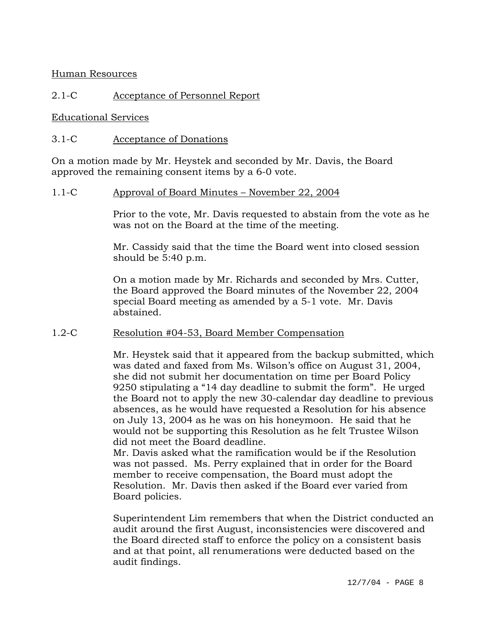Human Resources

## 2.1-C Acceptance of Personnel Report

#### Educational Services

### 3.1-C Acceptance of Donations

On a motion made by Mr. Heystek and seconded by Mr. Davis, the Board approved the remaining consent items by a 6-0 vote.

#### 1.1-C Approval of Board Minutes – November 22, 2004

Prior to the vote, Mr. Davis requested to abstain from the vote as he was not on the Board at the time of the meeting.

Mr. Cassidy said that the time the Board went into closed session should be 5:40 p.m.

On a motion made by Mr. Richards and seconded by Mrs. Cutter, the Board approved the Board minutes of the November 22, 2004 special Board meeting as amended by a 5-1 vote. Mr. Davis abstained.

#### 1.2-C Resolution #04-53, Board Member Compensation

Mr. Heystek said that it appeared from the backup submitted, which was dated and faxed from Ms. Wilson's office on August 31, 2004, she did not submit her documentation on time per Board Policy 9250 stipulating a "14 day deadline to submit the form". He urged the Board not to apply the new 30-calendar day deadline to previous absences, as he would have requested a Resolution for his absence on July 13, 2004 as he was on his honeymoon. He said that he would not be supporting this Resolution as he felt Trustee Wilson did not meet the Board deadline.

Mr. Davis asked what the ramification would be if the Resolution was not passed. Ms. Perry explained that in order for the Board member to receive compensation, the Board must adopt the Resolution. Mr. Davis then asked if the Board ever varied from Board policies.

Superintendent Lim remembers that when the District conducted an audit around the first August, inconsistencies were discovered and the Board directed staff to enforce the policy on a consistent basis and at that point, all renumerations were deducted based on the audit findings.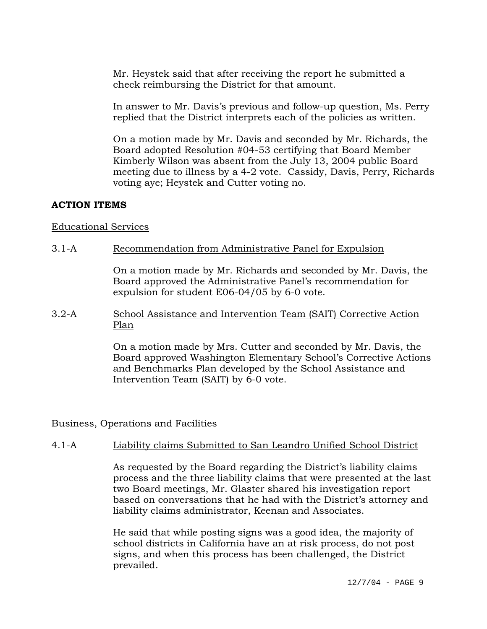Mr. Heystek said that after receiving the report he submitted a check reimbursing the District for that amount.

In answer to Mr. Davis's previous and follow-up question, Ms. Perry replied that the District interprets each of the policies as written.

On a motion made by Mr. Davis and seconded by Mr. Richards, the Board adopted Resolution #04-53 certifying that Board Member Kimberly Wilson was absent from the July 13, 2004 public Board meeting due to illness by a 4-2 vote. Cassidy, Davis, Perry, Richards voting aye; Heystek and Cutter voting no.

### **ACTION ITEMS**

### Educational Services

### 3.1-A Recommendation from Administrative Panel for Expulsion

On a motion made by Mr. Richards and seconded by Mr. Davis, the Board approved the Administrative Panel's recommendation for expulsion for student E06-04/05 by 6-0 vote.

3.2-A School Assistance and Intervention Team (SAIT) Corrective Action Plan

> On a motion made by Mrs. Cutter and seconded by Mr. Davis, the Board approved Washington Elementary School's Corrective Actions and Benchmarks Plan developed by the School Assistance and Intervention Team (SAIT) by 6-0 vote.

#### Business, Operations and Facilities

## 4.1-A Liability claims Submitted to San Leandro Unified School District

As requested by the Board regarding the District's liability claims process and the three liability claims that were presented at the last two Board meetings, Mr. Glaster shared his investigation report based on conversations that he had with the District's attorney and liability claims administrator, Keenan and Associates.

He said that while posting signs was a good idea, the majority of school districts in California have an at risk process, do not post signs, and when this process has been challenged, the District prevailed.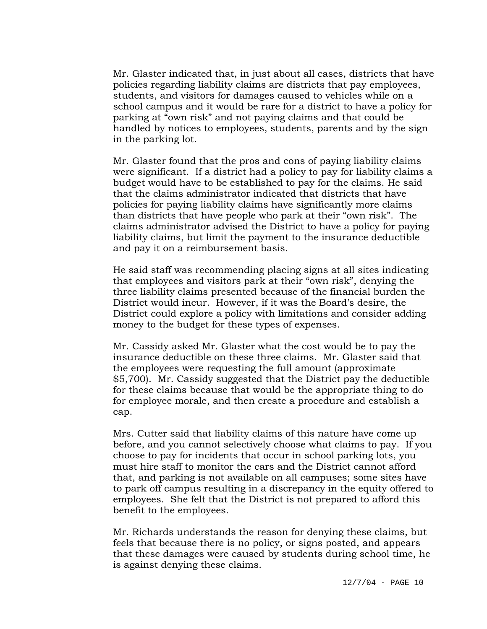Mr. Glaster indicated that, in just about all cases, districts that have policies regarding liability claims are districts that pay employees, students, and visitors for damages caused to vehicles while on a school campus and it would be rare for a district to have a policy for parking at "own risk" and not paying claims and that could be handled by notices to employees, students, parents and by the sign in the parking lot.

Mr. Glaster found that the pros and cons of paying liability claims were significant. If a district had a policy to pay for liability claims a budget would have to be established to pay for the claims. He said that the claims administrator indicated that districts that have policies for paying liability claims have significantly more claims than districts that have people who park at their "own risk". The claims administrator advised the District to have a policy for paying liability claims, but limit the payment to the insurance deductible and pay it on a reimbursement basis.

He said staff was recommending placing signs at all sites indicating that employees and visitors park at their "own risk", denying the three liability claims presented because of the financial burden the District would incur. However, if it was the Board's desire, the District could explore a policy with limitations and consider adding money to the budget for these types of expenses.

Mr. Cassidy asked Mr. Glaster what the cost would be to pay the insurance deductible on these three claims. Mr. Glaster said that the employees were requesting the full amount (approximate \$5,700). Mr. Cassidy suggested that the District pay the deductible for these claims because that would be the appropriate thing to do for employee morale, and then create a procedure and establish a cap.

Mrs. Cutter said that liability claims of this nature have come up before, and you cannot selectively choose what claims to pay. If you choose to pay for incidents that occur in school parking lots, you must hire staff to monitor the cars and the District cannot afford that, and parking is not available on all campuses; some sites have to park off campus resulting in a discrepancy in the equity offered to employees. She felt that the District is not prepared to afford this benefit to the employees.

Mr. Richards understands the reason for denying these claims, but feels that because there is no policy, or signs posted, and appears that these damages were caused by students during school time, he is against denying these claims.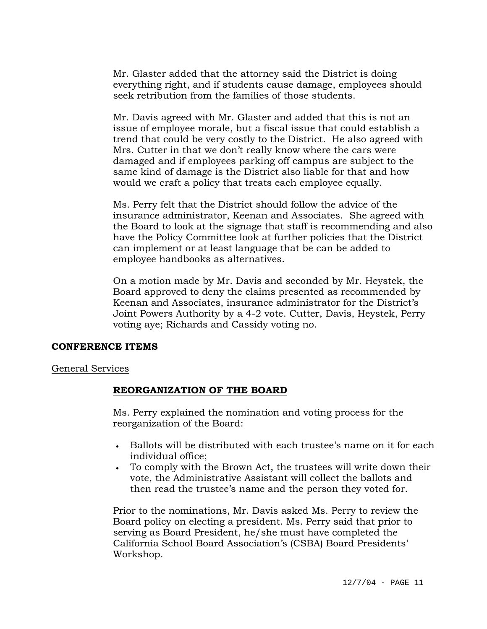Mr. Glaster added that the attorney said the District is doing everything right, and if students cause damage, employees should seek retribution from the families of those students.

Mr. Davis agreed with Mr. Glaster and added that this is not an issue of employee morale, but a fiscal issue that could establish a trend that could be very costly to the District. He also agreed with Mrs. Cutter in that we don't really know where the cars were damaged and if employees parking off campus are subject to the same kind of damage is the District also liable for that and how would we craft a policy that treats each employee equally.

Ms. Perry felt that the District should follow the advice of the insurance administrator, Keenan and Associates. She agreed with the Board to look at the signage that staff is recommending and also have the Policy Committee look at further policies that the District can implement or at least language that be can be added to employee handbooks as alternatives.

On a motion made by Mr. Davis and seconded by Mr. Heystek, the Board approved to deny the claims presented as recommended by Keenan and Associates, insurance administrator for the District's Joint Powers Authority by a 4-2 vote. Cutter, Davis, Heystek, Perry voting aye; Richards and Cassidy voting no.

#### **CONFERENCE ITEMS**

#### General Services

#### **REORGANIZATION OF THE BOARD**

Ms. Perry explained the nomination and voting process for the reorganization of the Board:

- Ballots will be distributed with each trustee's name on it for each individual office;
- To comply with the Brown Act, the trustees will write down their vote, the Administrative Assistant will collect the ballots and then read the trustee's name and the person they voted for.

Prior to the nominations, Mr. Davis asked Ms. Perry to review the Board policy on electing a president. Ms. Perry said that prior to serving as Board President, he/she must have completed the California School Board Association's (CSBA) Board Presidents' Workshop.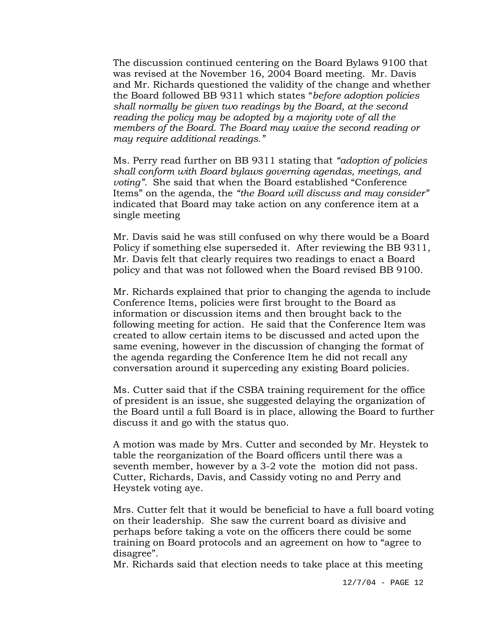The discussion continued centering on the Board Bylaws 9100 that was revised at the November 16, 2004 Board meeting. Mr. Davis and Mr. Richards questioned the validity of the change and whether the Board followed BB 9311 which states "*before adoption policies shall normally be given two readings by the Board, at the second reading the policy may be adopted by a majority vote of all the members of the Board. The Board may waive the second reading or may require additional readings."*

Ms. Perry read further on BB 9311 stating that *"adoption of policies shall conform with Board bylaws governing agendas, meetings, and voting".* She said that when the Board established "Conference Items" on the agenda, the *"the Board will discuss and may consider"* indicated that Board may take action on any conference item at a single meeting

Mr. Davis said he was still confused on why there would be a Board Policy if something else superseded it. After reviewing the BB 9311, Mr. Davis felt that clearly requires two readings to enact a Board policy and that was not followed when the Board revised BB 9100.

Mr. Richards explained that prior to changing the agenda to include Conference Items, policies were first brought to the Board as information or discussion items and then brought back to the following meeting for action. He said that the Conference Item was created to allow certain items to be discussed and acted upon the same evening, however in the discussion of changing the format of the agenda regarding the Conference Item he did not recall any conversation around it superceding any existing Board policies.

Ms. Cutter said that if the CSBA training requirement for the office of president is an issue, she suggested delaying the organization of the Board until a full Board is in place, allowing the Board to further discuss it and go with the status quo.

A motion was made by Mrs. Cutter and seconded by Mr. Heystek to table the reorganization of the Board officers until there was a seventh member, however by a 3-2 vote the motion did not pass. Cutter, Richards, Davis, and Cassidy voting no and Perry and Heystek voting aye.

Mrs. Cutter felt that it would be beneficial to have a full board voting on their leadership. She saw the current board as divisive and perhaps before taking a vote on the officers there could be some training on Board protocols and an agreement on how to "agree to disagree".

Mr. Richards said that election needs to take place at this meeting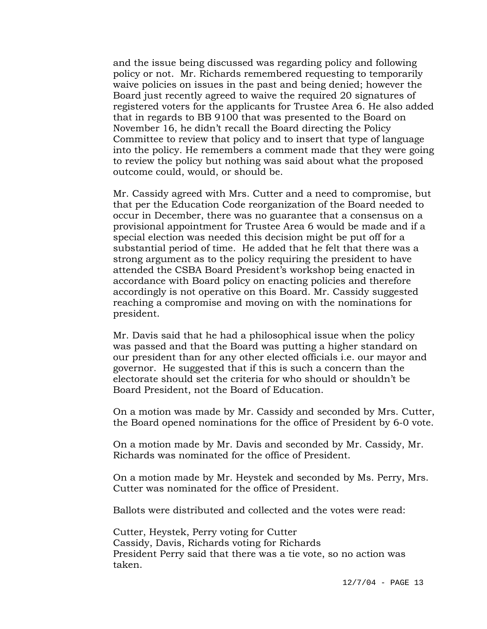and the issue being discussed was regarding policy and following policy or not. Mr. Richards remembered requesting to temporarily waive policies on issues in the past and being denied; however the Board just recently agreed to waive the required 20 signatures of registered voters for the applicants for Trustee Area 6. He also added that in regards to BB 9100 that was presented to the Board on November 16, he didn't recall the Board directing the Policy Committee to review that policy and to insert that type of language into the policy. He remembers a comment made that they were going to review the policy but nothing was said about what the proposed outcome could, would, or should be.

Mr. Cassidy agreed with Mrs. Cutter and a need to compromise, but that per the Education Code reorganization of the Board needed to occur in December, there was no guarantee that a consensus on a provisional appointment for Trustee Area 6 would be made and if a special election was needed this decision might be put off for a substantial period of time. He added that he felt that there was a strong argument as to the policy requiring the president to have attended the CSBA Board President's workshop being enacted in accordance with Board policy on enacting policies and therefore accordingly is not operative on this Board. Mr. Cassidy suggested reaching a compromise and moving on with the nominations for president.

Mr. Davis said that he had a philosophical issue when the policy was passed and that the Board was putting a higher standard on our president than for any other elected officials i.e. our mayor and governor. He suggested that if this is such a concern than the electorate should set the criteria for who should or shouldn't be Board President, not the Board of Education.

On a motion was made by Mr. Cassidy and seconded by Mrs. Cutter, the Board opened nominations for the office of President by 6-0 vote.

On a motion made by Mr. Davis and seconded by Mr. Cassidy, Mr. Richards was nominated for the office of President.

On a motion made by Mr. Heystek and seconded by Ms. Perry, Mrs. Cutter was nominated for the office of President.

Ballots were distributed and collected and the votes were read:

Cutter, Heystek, Perry voting for Cutter Cassidy, Davis, Richards voting for Richards President Perry said that there was a tie vote, so no action was taken.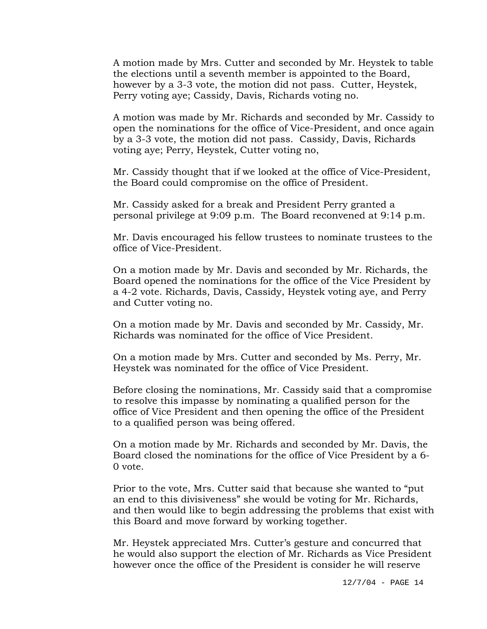A motion made by Mrs. Cutter and seconded by Mr. Heystek to table the elections until a seventh member is appointed to the Board, however by a 3-3 vote, the motion did not pass. Cutter, Heystek, Perry voting aye; Cassidy, Davis, Richards voting no.

A motion was made by Mr. Richards and seconded by Mr. Cassidy to open the nominations for the office of Vice-President, and once again by a 3-3 vote, the motion did not pass. Cassidy, Davis, Richards voting aye; Perry, Heystek, Cutter voting no,

Mr. Cassidy thought that if we looked at the office of Vice-President, the Board could compromise on the office of President.

Mr. Cassidy asked for a break and President Perry granted a personal privilege at 9:09 p.m. The Board reconvened at 9:14 p.m.

Mr. Davis encouraged his fellow trustees to nominate trustees to the office of Vice-President.

On a motion made by Mr. Davis and seconded by Mr. Richards, the Board opened the nominations for the office of the Vice President by a 4-2 vote. Richards, Davis, Cassidy, Heystek voting aye, and Perry and Cutter voting no.

On a motion made by Mr. Davis and seconded by Mr. Cassidy, Mr. Richards was nominated for the office of Vice President.

On a motion made by Mrs. Cutter and seconded by Ms. Perry, Mr. Heystek was nominated for the office of Vice President.

Before closing the nominations, Mr. Cassidy said that a compromise to resolve this impasse by nominating a qualified person for the office of Vice President and then opening the office of the President to a qualified person was being offered.

On a motion made by Mr. Richards and seconded by Mr. Davis, the Board closed the nominations for the office of Vice President by a 6- 0 vote.

Prior to the vote, Mrs. Cutter said that because she wanted to "put an end to this divisiveness" she would be voting for Mr. Richards, and then would like to begin addressing the problems that exist with this Board and move forward by working together.

Mr. Heystek appreciated Mrs. Cutter's gesture and concurred that he would also support the election of Mr. Richards as Vice President however once the office of the President is consider he will reserve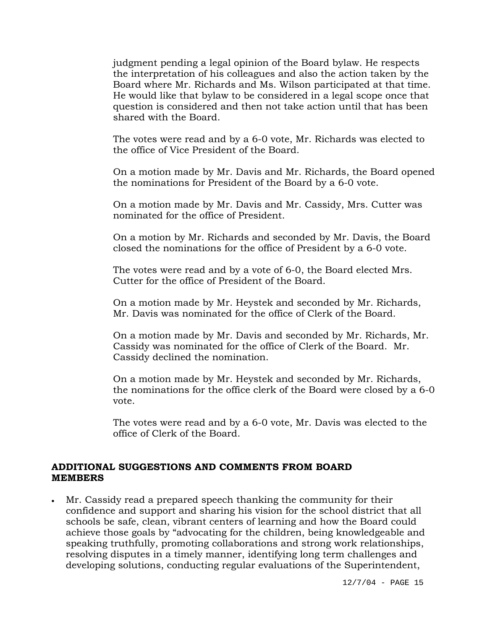judgment pending a legal opinion of the Board bylaw. He respects the interpretation of his colleagues and also the action taken by the Board where Mr. Richards and Ms. Wilson participated at that time. He would like that bylaw to be considered in a legal scope once that question is considered and then not take action until that has been shared with the Board.

The votes were read and by a 6-0 vote, Mr. Richards was elected to the office of Vice President of the Board.

On a motion made by Mr. Davis and Mr. Richards, the Board opened the nominations for President of the Board by a 6-0 vote.

On a motion made by Mr. Davis and Mr. Cassidy, Mrs. Cutter was nominated for the office of President.

On a motion by Mr. Richards and seconded by Mr. Davis, the Board closed the nominations for the office of President by a 6-0 vote.

The votes were read and by a vote of 6-0, the Board elected Mrs. Cutter for the office of President of the Board.

On a motion made by Mr. Heystek and seconded by Mr. Richards, Mr. Davis was nominated for the office of Clerk of the Board.

On a motion made by Mr. Davis and seconded by Mr. Richards, Mr. Cassidy was nominated for the office of Clerk of the Board. Mr. Cassidy declined the nomination.

On a motion made by Mr. Heystek and seconded by Mr. Richards, the nominations for the office clerk of the Board were closed by a 6-0 vote.

The votes were read and by a 6-0 vote, Mr. Davis was elected to the office of Clerk of the Board.

## **ADDITIONAL SUGGESTIONS AND COMMENTS FROM BOARD MEMBERS**

• Mr. Cassidy read a prepared speech thanking the community for their confidence and support and sharing his vision for the school district that all schools be safe, clean, vibrant centers of learning and how the Board could achieve those goals by "advocating for the children, being knowledgeable and speaking truthfully, promoting collaborations and strong work relationships, resolving disputes in a timely manner, identifying long term challenges and developing solutions, conducting regular evaluations of the Superintendent,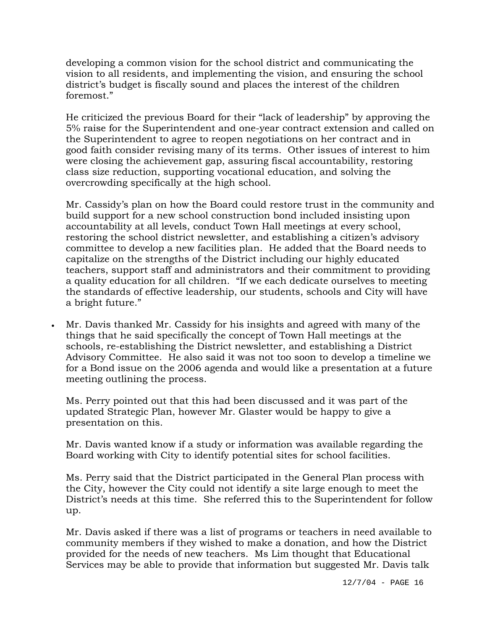developing a common vision for the school district and communicating the vision to all residents, and implementing the vision, and ensuring the school district's budget is fiscally sound and places the interest of the children foremost."

He criticized the previous Board for their "lack of leadership" by approving the 5% raise for the Superintendent and one-year contract extension and called on the Superintendent to agree to reopen negotiations on her contract and in good faith consider revising many of its terms. Other issues of interest to him were closing the achievement gap, assuring fiscal accountability, restoring class size reduction, supporting vocational education, and solving the overcrowding specifically at the high school.

Mr. Cassidy's plan on how the Board could restore trust in the community and build support for a new school construction bond included insisting upon accountability at all levels, conduct Town Hall meetings at every school, restoring the school district newsletter, and establishing a citizen's advisory committee to develop a new facilities plan. He added that the Board needs to capitalize on the strengths of the District including our highly educated teachers, support staff and administrators and their commitment to providing a quality education for all children. "If we each dedicate ourselves to meeting the standards of effective leadership, our students, schools and City will have a bright future."

• Mr. Davis thanked Mr. Cassidy for his insights and agreed with many of the things that he said specifically the concept of Town Hall meetings at the schools, re-establishing the District newsletter, and establishing a District Advisory Committee. He also said it was not too soon to develop a timeline we for a Bond issue on the 2006 agenda and would like a presentation at a future meeting outlining the process.

Ms. Perry pointed out that this had been discussed and it was part of the updated Strategic Plan, however Mr. Glaster would be happy to give a presentation on this.

Mr. Davis wanted know if a study or information was available regarding the Board working with City to identify potential sites for school facilities.

Ms. Perry said that the District participated in the General Plan process with the City, however the City could not identify a site large enough to meet the District's needs at this time. She referred this to the Superintendent for follow up.

Mr. Davis asked if there was a list of programs or teachers in need available to community members if they wished to make a donation, and how the District provided for the needs of new teachers. Ms Lim thought that Educational Services may be able to provide that information but suggested Mr. Davis talk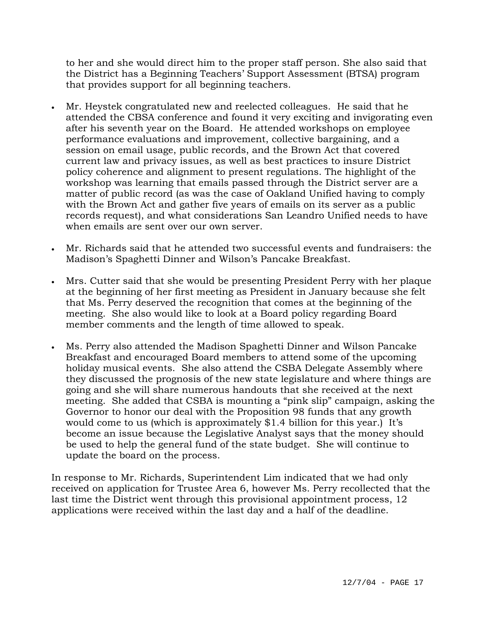to her and she would direct him to the proper staff person. She also said that the District has a Beginning Teachers' Support Assessment (BTSA) program that provides support for all beginning teachers.

- Mr. Heystek congratulated new and reelected colleagues. He said that he attended the CBSA conference and found it very exciting and invigorating even after his seventh year on the Board. He attended workshops on employee performance evaluations and improvement, collective bargaining, and a session on email usage, public records, and the Brown Act that covered current law and privacy issues, as well as best practices to insure District policy coherence and alignment to present regulations. The highlight of the workshop was learning that emails passed through the District server are a matter of public record (as was the case of Oakland Unified having to comply with the Brown Act and gather five years of emails on its server as a public records request), and what considerations San Leandro Unified needs to have when emails are sent over our own server.
- Mr. Richards said that he attended two successful events and fundraisers: the Madison's Spaghetti Dinner and Wilson's Pancake Breakfast.
- Mrs. Cutter said that she would be presenting President Perry with her plaque at the beginning of her first meeting as President in January because she felt that Ms. Perry deserved the recognition that comes at the beginning of the meeting. She also would like to look at a Board policy regarding Board member comments and the length of time allowed to speak.
- Ms. Perry also attended the Madison Spaghetti Dinner and Wilson Pancake Breakfast and encouraged Board members to attend some of the upcoming holiday musical events. She also attend the CSBA Delegate Assembly where they discussed the prognosis of the new state legislature and where things are going and she will share numerous handouts that she received at the next meeting. She added that CSBA is mounting a "pink slip" campaign, asking the Governor to honor our deal with the Proposition 98 funds that any growth would come to us (which is approximately \$1.4 billion for this year.) It's become an issue because the Legislative Analyst says that the money should be used to help the general fund of the state budget. She will continue to update the board on the process.

In response to Mr. Richards, Superintendent Lim indicated that we had only received on application for Trustee Area 6, however Ms. Perry recollected that the last time the District went through this provisional appointment process, 12 applications were received within the last day and a half of the deadline.